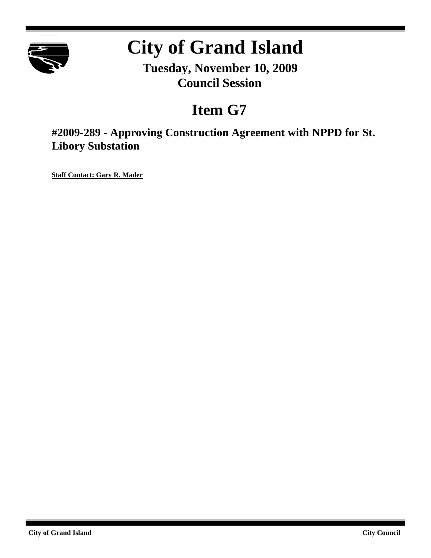

# **City of Grand Island**

**Tuesday, November 10, 2009 Council Session**

## **Item G7**

**#2009-289 - Approving Construction Agreement with NPPD for St. Libory Substation**

**Staff Contact: Gary R. Mader**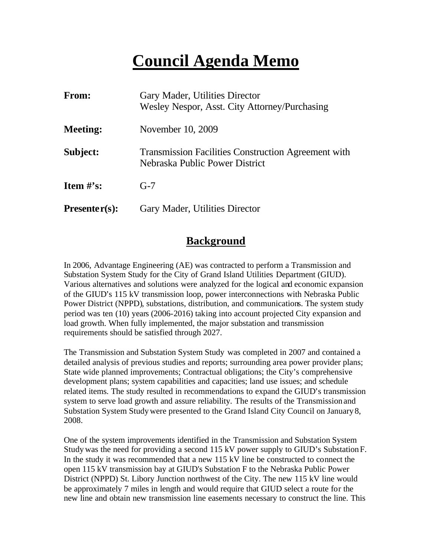## **Council Agenda Memo**

| <b>From:</b>    | Gary Mader, Utilities Director<br>Wesley Nespor, Asst. City Attorney/Purchasing              |
|-----------------|----------------------------------------------------------------------------------------------|
| <b>Meeting:</b> | November 10, 2009                                                                            |
| Subject:        | <b>Transmission Facilities Construction Agreement with</b><br>Nebraska Public Power District |
| Item $#$ 's:    | $G-7$                                                                                        |
| $Presenter(s):$ | Gary Mader, Utilities Director                                                               |

#### **Background**

In 2006, Advantage Engineering (AE) was contracted to perform a Transmission and Substation System Study for the City of Grand Island Utilities Department (GIUD). Various alternatives and solutions were analyzed for the logical and economic expansion of the GIUD's 115 kV transmission loop, power interconnections with Nebraska Public Power District (NPPD), substations, distribution, and communications. The system study period was ten (10) years (2006-2016) taking into account projected City expansion and load growth. When fully implemented, the major substation and transmission requirements should be satisfied through 2027.

The Transmission and Substation System Study was completed in 2007 and contained a detailed analysis of previous studies and reports; surrounding area power provider plans; State wide planned improvements; Contractual obligations; the City's comprehensive development plans; system capabilities and capacities; land use issues; and schedule related items. The study resulted in recommendations to expand the GIUD's transmission system to serve load growth and assure reliability. The results of the Transmission and Substation System Study were presented to the Grand Island City Council on January 8, 2008.

One of the system improvements identified in the Transmission and Substation System Study was the need for providing a second 115 kV power supply to GIUD's Substation F. In the study it was recommended that a new 115 kV line be constructed to connect the open 115 kV transmission bay at GIUD's Substation F to the Nebraska Public Power District (NPPD) St. Libory Junction northwest of the City. The new 115 kV line would be approximately 7 miles in length and would require that GIUD select a route for the new line and obtain new transmission line easements necessary to construct the line. This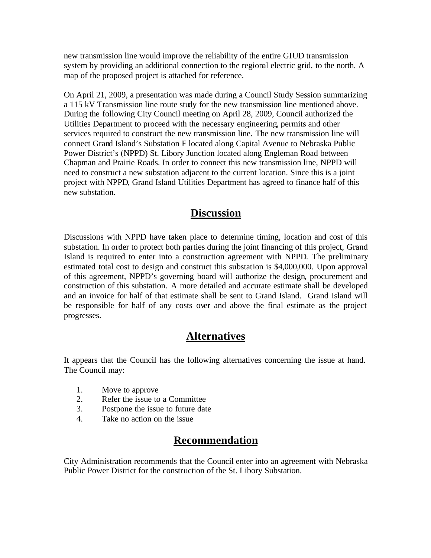new transmission line would improve the reliability of the entire GIUD transmission system by providing an additional connection to the regional electric grid, to the north. A map of the proposed project is attached for reference.

On April 21, 2009, a presentation was made during a Council Study Session summarizing a 115 kV Transmission line route study for the new transmission line mentioned above. During the following City Council meeting on April 28, 2009, Council authorized the Utilities Department to proceed with the necessary engineering, permits and other services required to construct the new transmission line. The new transmission line will connect Grand Island's Substation F located along Capital Avenue to Nebraska Public Power District's (NPPD) St. Libory Junction located along Engleman Road between Chapman and Prairie Roads. In order to connect this new transmission line, NPPD will need to construct a new substation adjacent to the current location. Since this is a joint project with NPPD, Grand Island Utilities Department has agreed to finance half of this new substation.

#### **Discussion**

Discussions with NPPD have taken place to determine timing, location and cost of this substation. In order to protect both parties during the joint financing of this project, Grand Island is required to enter into a construction agreement with NPPD. The preliminary estimated total cost to design and construct this substation is \$4,000,000. Upon approval of this agreement, NPPD's governing board will authorize the design, procurement and construction of this substation. A more detailed and accurate estimate shall be developed and an invoice for half of that estimate shall be sent to Grand Island. Grand Island will be responsible for half of any costs over and above the final estimate as the project progresses.

#### **Alternatives**

It appears that the Council has the following alternatives concerning the issue at hand. The Council may:

- 1. Move to approve
- 2. Refer the issue to a Committee
- 3. Postpone the issue to future date
- 4. Take no action on the issue

### **Recommendation**

City Administration recommends that the Council enter into an agreement with Nebraska Public Power District for the construction of the St. Libory Substation.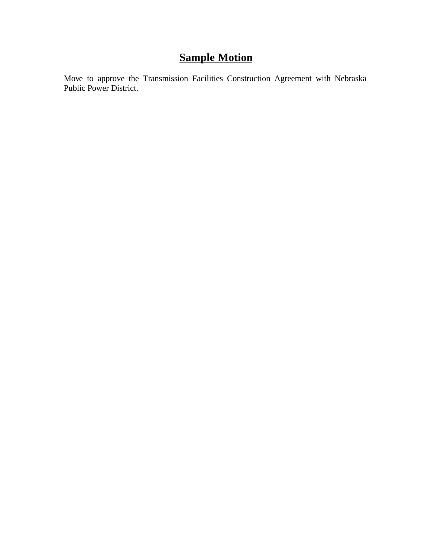## **Sample Motion**

Move to approve the Transmission Facilities Construction Agreement with Nebraska Public Power District.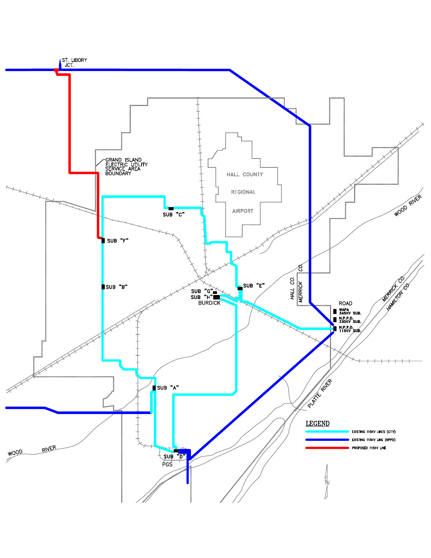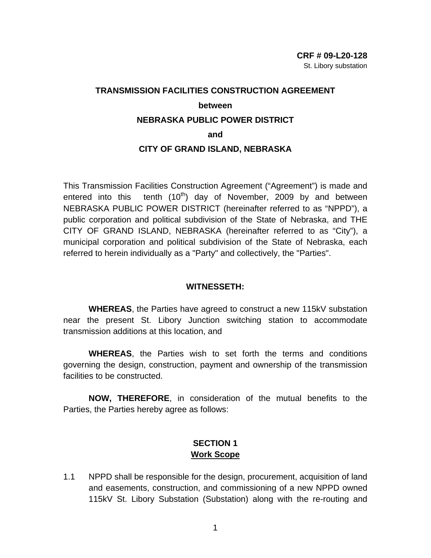### **TRANSMISSION FACILITIES CONSTRUCTION AGREEMENT between NEBRASKA PUBLIC POWER DISTRICT**

**and** 

#### **CITY OF GRAND ISLAND, NEBRASKA**

This Transmission Facilities Construction Agreement ("Agreement") is made and entered into this tenth  $(10<sup>th</sup>)$  day of November, 2009 by and between NEBRASKA PUBLIC POWER DISTRICT (hereinafter referred to as "NPPD"), a public corporation and political subdivision of the State of Nebraska, and THE CITY OF GRAND ISLAND, NEBRASKA (hereinafter referred to as "City"), a municipal corporation and political subdivision of the State of Nebraska, each referred to herein individually as a "Party" and collectively, the "Parties".

#### **WITNESSETH:**

**WHEREAS**, the Parties have agreed to construct a new 115kV substation near the present St. Libory Junction switching station to accommodate transmission additions at this location, and

**WHEREAS**, the Parties wish to set forth the terms and conditions governing the design, construction, payment and ownership of the transmission facilities to be constructed.

**NOW, THEREFORE**, in consideration of the mutual benefits to the Parties, the Parties hereby agree as follows:

#### **SECTION 1 Work Scope**

1.1 NPPD shall be responsible for the design, procurement, acquisition of land and easements, construction, and commissioning of a new NPPD owned 115kV St. Libory Substation (Substation) along with the re-routing and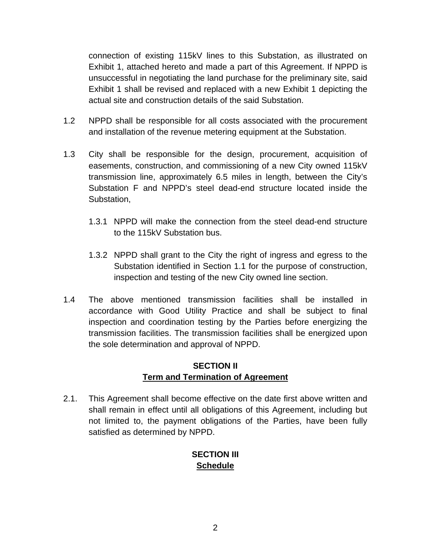connection of existing 115kV lines to this Substation, as illustrated on Exhibit 1, attached hereto and made a part of this Agreement. If NPPD is unsuccessful in negotiating the land purchase for the preliminary site, said Exhibit 1 shall be revised and replaced with a new Exhibit 1 depicting the actual site and construction details of the said Substation.

- 1.2 NPPD shall be responsible for all costs associated with the procurement and installation of the revenue metering equipment at the Substation.
- 1.3 City shall be responsible for the design, procurement, acquisition of easements, construction, and commissioning of a new City owned 115kV transmission line, approximately 6.5 miles in length, between the City's Substation F and NPPD's steel dead-end structure located inside the Substation,
	- 1.3.1 NPPD will make the connection from the steel dead-end structure to the 115kV Substation bus.
	- 1.3.2 NPPD shall grant to the City the right of ingress and egress to the Substation identified in Section 1.1 for the purpose of construction, inspection and testing of the new City owned line section.
- 1.4 The above mentioned transmission facilities shall be installed in accordance with Good Utility Practice and shall be subject to final inspection and coordination testing by the Parties before energizing the transmission facilities. The transmission facilities shall be energized upon the sole determination and approval of NPPD.

#### **SECTION II Term and Termination of Agreement**

2.1. This Agreement shall become effective on the date first above written and shall remain in effect until all obligations of this Agreement, including but not limited to, the payment obligations of the Parties, have been fully satisfied as determined by NPPD.

#### **SECTION III Schedule**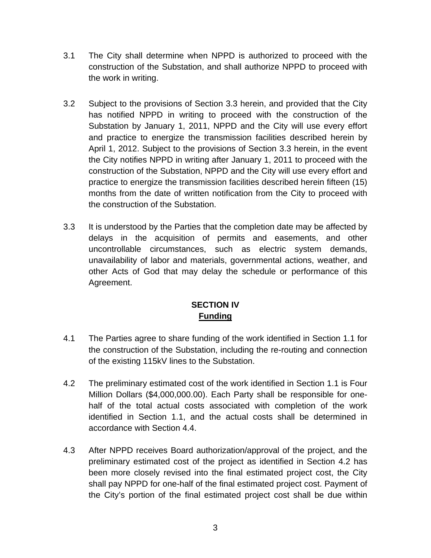- 3.1 The City shall determine when NPPD is authorized to proceed with the construction of the Substation, and shall authorize NPPD to proceed with the work in writing.
- 3.2 Subject to the provisions of Section 3.3 herein, and provided that the City has notified NPPD in writing to proceed with the construction of the Substation by January 1, 2011, NPPD and the City will use every effort and practice to energize the transmission facilities described herein by April 1, 2012. Subject to the provisions of Section 3.3 herein, in the event the City notifies NPPD in writing after January 1, 2011 to proceed with the construction of the Substation, NPPD and the City will use every effort and practice to energize the transmission facilities described herein fifteen (15) months from the date of written notification from the City to proceed with the construction of the Substation.
- 3.3 It is understood by the Parties that the completion date may be affected by delays in the acquisition of permits and easements, and other uncontrollable circumstances, such as electric system demands, unavailability of labor and materials, governmental actions, weather, and other Acts of God that may delay the schedule or performance of this Agreement.

#### **SECTION IV Funding**

- 4.1 The Parties agree to share funding of the work identified in Section 1.1 for the construction of the Substation, including the re-routing and connection of the existing 115kV lines to the Substation.
- 4.2 The preliminary estimated cost of the work identified in Section 1.1 is Four Million Dollars (\$4,000,000.00). Each Party shall be responsible for onehalf of the total actual costs associated with completion of the work identified in Section 1.1, and the actual costs shall be determined in accordance with Section 4.4.
- 4.3 After NPPD receives Board authorization/approval of the project, and the preliminary estimated cost of the project as identified in Section 4.2 has been more closely revised into the final estimated project cost, the City shall pay NPPD for one-half of the final estimated project cost. Payment of the City's portion of the final estimated project cost shall be due within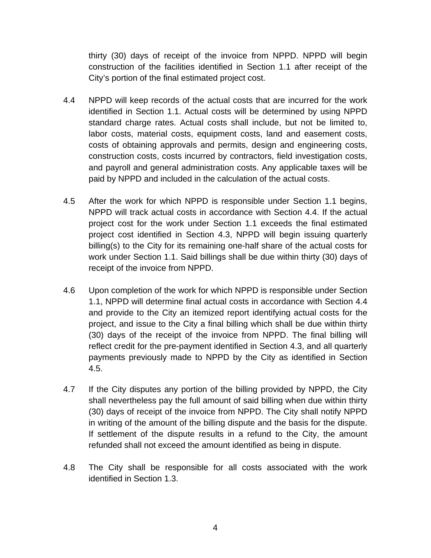thirty (30) days of receipt of the invoice from NPPD. NPPD will begin construction of the facilities identified in Section 1.1 after receipt of the City's portion of the final estimated project cost.

- 4.4 NPPD will keep records of the actual costs that are incurred for the work identified in Section 1.1. Actual costs will be determined by using NPPD standard charge rates. Actual costs shall include, but not be limited to, labor costs, material costs, equipment costs, land and easement costs, costs of obtaining approvals and permits, design and engineering costs, construction costs, costs incurred by contractors, field investigation costs, and payroll and general administration costs. Any applicable taxes will be paid by NPPD and included in the calculation of the actual costs.
- 4.5 After the work for which NPPD is responsible under Section 1.1 begins, NPPD will track actual costs in accordance with Section 4.4. If the actual project cost for the work under Section 1.1 exceeds the final estimated project cost identified in Section 4.3, NPPD will begin issuing quarterly billing(s) to the City for its remaining one-half share of the actual costs for work under Section 1.1. Said billings shall be due within thirty (30) days of receipt of the invoice from NPPD.
- 4.6 Upon completion of the work for which NPPD is responsible under Section 1.1, NPPD will determine final actual costs in accordance with Section 4.4 and provide to the City an itemized report identifying actual costs for the project, and issue to the City a final billing which shall be due within thirty (30) days of the receipt of the invoice from NPPD. The final billing will reflect credit for the pre-payment identified in Section 4.3, and all quarterly payments previously made to NPPD by the City as identified in Section 4.5.
- 4.7 If the City disputes any portion of the billing provided by NPPD, the City shall nevertheless pay the full amount of said billing when due within thirty (30) days of receipt of the invoice from NPPD. The City shall notify NPPD in writing of the amount of the billing dispute and the basis for the dispute. If settlement of the dispute results in a refund to the City, the amount refunded shall not exceed the amount identified as being in dispute.
- 4.8 The City shall be responsible for all costs associated with the work identified in Section 1.3.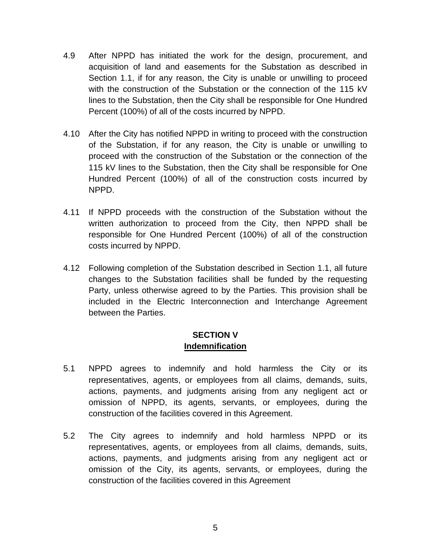- 4.9 After NPPD has initiated the work for the design, procurement, and acquisition of land and easements for the Substation as described in Section 1.1, if for any reason, the City is unable or unwilling to proceed with the construction of the Substation or the connection of the 115 kV lines to the Substation, then the City shall be responsible for One Hundred Percent (100%) of all of the costs incurred by NPPD.
- 4.10 After the City has notified NPPD in writing to proceed with the construction of the Substation, if for any reason, the City is unable or unwilling to proceed with the construction of the Substation or the connection of the 115 kV lines to the Substation, then the City shall be responsible for One Hundred Percent (100%) of all of the construction costs incurred by NPPD.
- 4.11 If NPPD proceeds with the construction of the Substation without the written authorization to proceed from the City, then NPPD shall be responsible for One Hundred Percent (100%) of all of the construction costs incurred by NPPD.
- 4.12 Following completion of the Substation described in Section 1.1, all future changes to the Substation facilities shall be funded by the requesting Party, unless otherwise agreed to by the Parties. This provision shall be included in the Electric Interconnection and Interchange Agreement between the Parties.

#### **SECTION V Indemnification**

- 5.1 NPPD agrees to indemnify and hold harmless the City or its representatives, agents, or employees from all claims, demands, suits, actions, payments, and judgments arising from any negligent act or omission of NPPD, its agents, servants, or employees, during the construction of the facilities covered in this Agreement.
- 5.2 The City agrees to indemnify and hold harmless NPPD or its representatives, agents, or employees from all claims, demands, suits, actions, payments, and judgments arising from any negligent act or omission of the City, its agents, servants, or employees, during the construction of the facilities covered in this Agreement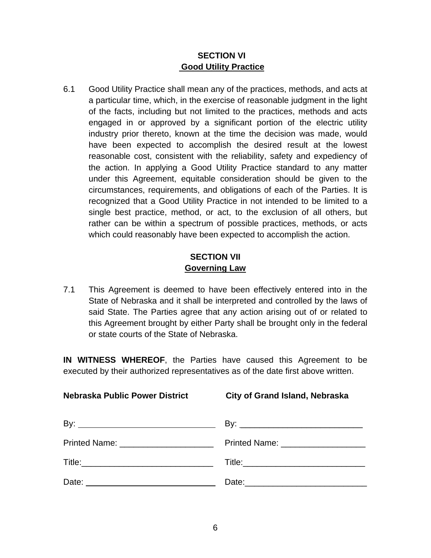#### **SECTION VI Good Utility Practice**

6.1 Good Utility Practice shall mean any of the practices, methods, and acts at a particular time, which, in the exercise of reasonable judgment in the light of the facts, including but not limited to the practices, methods and acts engaged in or approved by a significant portion of the electric utility industry prior thereto, known at the time the decision was made, would have been expected to accomplish the desired result at the lowest reasonable cost, consistent with the reliability, safety and expediency of the action. In applying a Good Utility Practice standard to any matter under this Agreement, equitable consideration should be given to the circumstances, requirements, and obligations of each of the Parties. It is recognized that a Good Utility Practice in not intended to be limited to a single best practice, method, or act, to the exclusion of all others, but rather can be within a spectrum of possible practices, methods, or acts which could reasonably have been expected to accomplish the action.

#### **SECTION VII Governing Law**

7.1 This Agreement is deemed to have been effectively entered into in the State of Nebraska and it shall be interpreted and controlled by the laws of said State. The Parties agree that any action arising out of or related to this Agreement brought by either Party shall be brought only in the federal or state courts of the State of Nebraska.

**IN WITNESS WHEREOF**, the Parties have caused this Agreement to be executed by their authorized representatives as of the date first above written.

**Nebraska Public Power District City of Grand Island, Nebraska**

| Printed Name: Name: Name and Name and Name and Name and Name and Name and Name and Name and Name and Name and N | Printed Name: ___________________ |
|-----------------------------------------------------------------------------------------------------------------|-----------------------------------|
|                                                                                                                 |                                   |
| Date:                                                                                                           |                                   |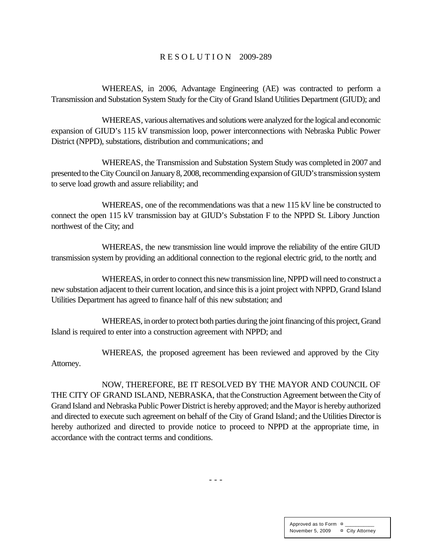#### R E S O L U T I O N 2009-289

WHEREAS, in 2006, Advantage Engineering (AE) was contracted to perform a Transmission and Substation System Study for the City of Grand Island Utilities Department (GIUD); and

WHEREAS, various alternatives and solutions were analyzed for the logical and economic expansion of GIUD's 115 kV transmission loop, power interconnections with Nebraska Public Power District (NPPD), substations, distribution and communications; and

WHEREAS, the Transmission and Substation System Study was completed in 2007 and presented to the City Council on January 8, 2008, recommending expansion of GIUD's transmission system to serve load growth and assure reliability; and

WHEREAS, one of the recommendations was that a new 115 kV line be constructed to connect the open 115 kV transmission bay at GIUD's Substation F to the NPPD St. Libory Junction northwest of the City; and

WHEREAS, the new transmission line would improve the reliability of the entire GIUD transmission system by providing an additional connection to the regional electric grid, to the north; and

WHEREAS, in order to connect this new transmission line, NPPD will need to construct a new substation adjacent to their current location, and since this is a joint project with NPPD, Grand Island Utilities Department has agreed to finance half of this new substation; and

WHEREAS, in order to protect both parties during the joint financing of this project, Grand Island is required to enter into a construction agreement with NPPD; and

WHEREAS, the proposed agreement has been reviewed and approved by the City Attorney.

NOW, THEREFORE, BE IT RESOLVED BY THE MAYOR AND COUNCIL OF THE CITY OF GRAND ISLAND, NEBRASKA, that the Construction Agreement between the City of Grand Island and Nebraska Public Power District is hereby approved; and the Mayor is hereby authorized and directed to execute such agreement on behalf of the City of Grand Island; and the Utilities Director is hereby authorized and directed to provide notice to proceed to NPPD at the appropriate time, in accordance with the contract terms and conditions.

- - -

Approved as to Form  $\pi$ November 5, 2009 ¤ City Attorney